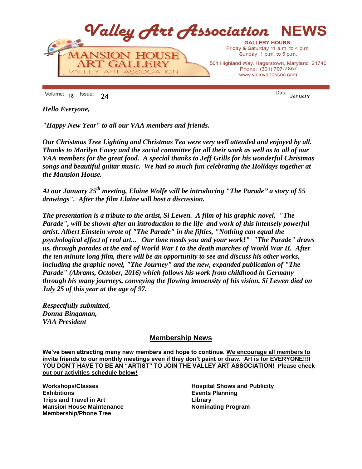

**<sup>18</sup>** 24 **January**

*Hello Everyone,*

*"Happy New Year" to all our VAA members and friends.*

*Our Christmas Tree Lighting and Christmas Tea were very well attended and enjoyed by all. Thanks to Marilyn Eavey and the social committee for all their work as well as to all of our VAA members for the great food. A special thanks to Jeff Grills for his wonderful Christmas songs and beautiful guitar music. We had so much fun celebrating the Holidays together at the Mansion House.*

*At our January 25th meeting, Elaine Wolfe will be introducing "The Parade" a story of 55 drawings". After the film Elaine will host a discussion.*

*The presentation is a tribute to the artist, Si Lewen. A film of his graphic novel, "The Parade", will be shown after an introduction to the life and work of this intensely powerful artist. Albert Einstein wrote of "The Parade" in the fifties, "Nothing can equal the psychological effect of real art... Our time needs you and your work!" "The Parade" draws us, through parades at the end of World War I to the death marches of World War II. After the ten minute long film, there will be an opportunity to see and discuss his other works, including the graphic novel, "The Journey" and the new, expanded publication of "The Parade" (Abrams, October, 2016) which follows his work from childhood in Germany through his many journeys, conveying the flowing immensity of his vision. Si Lewen died on July 25 of this year at the age of 97.*

*Respectfully submitted, Donna Bingaman, VAA President* 

# **Membership News**

**We've been attracting many new members and hope to continue. We encourage all members to invite friends to our monthly meetings even if they don't paint or draw. Art is for EVERYONE!!!I YOU DON'T HAVE TO BE AN "ARTIST" TO JOIN THE VALLEY ART ASSOCIATION! Please check out our activities schedule below!**

**Workshops/Classes Exhibitions Trips and Travel in Art Mansion House Maintenance Membership/Phone Tree**

**Hospital Shows and Publicity Events Planning Library Nominating Program**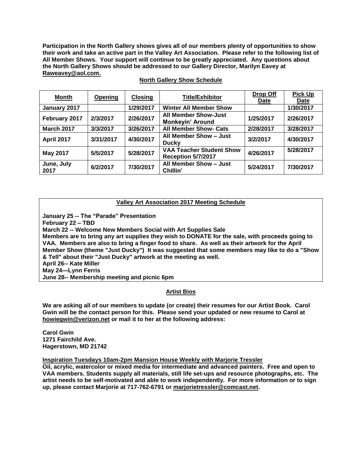**Participation in the North Gallery shows gives all of our members plenty of opportunities to show their work and take an active part in the Valley Art Association. Please refer to the following list of All Member Shows. Your support will continue to be greatly appreciated. Any questions about the North Gallery Shows should be addressed to our Gallery Director, Marilyn Eavey at Raweavey@aol.com.**

| <b>Month</b>       | Opening   | <b>Closing</b> | <b>Title/Exhibitor</b>                                 | Drop Off<br>Date | <b>Pick Up</b><br><b>Date</b> |
|--------------------|-----------|----------------|--------------------------------------------------------|------------------|-------------------------------|
| January 2017       |           | 1/29/2017      | <b>Winter All Member Show</b>                          |                  | 1/30/2017                     |
| February 2017      | 2/3/2017  | 2/26/2017      | <b>All Member Show-Just</b><br><b>Monkeyin' Around</b> | 1/25/2017        | 2/26/2017                     |
| <b>March 2017</b>  | 3/3/2017  | 3/26/2017      | <b>All Member Show- Cats</b>                           | 2/28/2017        | 3/28/2017                     |
| <b>April 2017</b>  | 3/31/2017 | 4/30/2017      | All Member Show - Just<br><b>Ducky</b>                 | 3/2/2017         | 4/30/2017                     |
| <b>May 2017</b>    | 5/5/2017  | 5/28/2017      | <b>VAA Teacher Student Show</b><br>Reception 5/7/2017  | 4/26/2017        | 5/28/2017                     |
| June, July<br>2017 | 6/2/2017  | 7/30/2017      | All Member Show - Just<br>Chillin'                     | 5/24/2017        | 7/30/2017                     |

## **North Gallery Show Schedule**

## **Valley Art Association 2017 Meeting Schedule**

**January 25 -- The "Parade" Presentation February 22 – TBD March 22 -- Welcome New Members Social with Art Supplies Sale Members are to bring any art supplies they wish to DONATE for the sale, with proceeds going to VAA. Members are also to bring a finger food to share. As well as their artwork for the April Member Show (theme "Just Ducky") It was suggested that some members may like to do a "Show & Tell" about their "Just Ducky" artwork at the meeting as well. April 26-- Kate Miller May 24—Lynn Ferris June 28-- Membership meeting and picnic 6pm**

## **Artist Bios**

**We are asking all of our members to update (or create) their resumes for our Artist Book. Carol Gwin will be the contact person for this. Please send your updated or new resume to Carol at howiegwin@verizon.net or mail it to her at the following address:**

**Carol Gwin 1271 Fairchild Ave. Hagerstown, MD 21742**

**Inspiration Tuesdays 10am-2pm Mansion House Weekly with Marjorie Tressler**

**Oil, acrylic, watercolor or mixed media for intermediate and advanced painters. Free and open to VAA members. Students supply all materials, still life set-ups and resource photographs, etc. The artist needs to be self-motivated and able to work independently. For more information or to sign up, please contact Marjorie at 717-762-6791 or [marjorietressler@comcast.net.](mailto:marjorietressler@comcast.net)**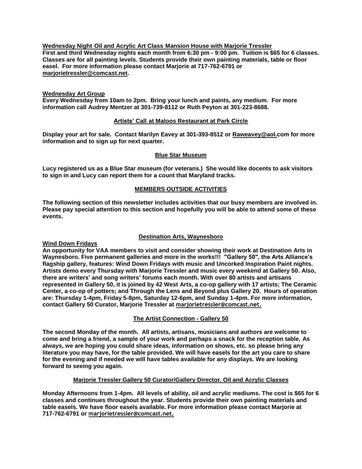**Wednesday Night Oil and Acrylic Art Class Mansion House with Marjorie Tressler First and third Wednesday nights each month from 6:30 pm - 9:00 pm. Tuition is \$65 for 6 classes. Classes are for all painting levels. Students provide their own painting materials, table or floor easel. For more information please contact Marjorie at 717-762-6791 or [marjorietressler@comcast.net.](mailto:marjorietressler@comcast.net)**

## **Wednesday Art Group**

**Every Wednesday from 10am to 2pm. Bring your lunch and paints, any medium. For more information call Audrey Mentzer at 301-739-8112 or Ruth Peyton at 301-223-8688.**

#### **Artists' Call at Maloos Restaurant at Park Circle**

**Display your art for sale. Contact Marilyn Eavey at 301-393-8512 or [Raweavey@aol.com](mailto:Raweavey@aol.com) for more information and to sign up for next quarter.**

#### **Blue Star Museum**

**Lucy registered us as a Blue Star museum (for veterans.) She would like docents to ask visitors to sign in and Lucy can report them for a count that Maryland tracks.** 

## **MEMBERS OUTSIDE ACTIVITIES**

**The following section of this newsletter includes activities that our busy members are involved in. Please pay special attention to this section and hopefully you will be able to attend some of these events.**

### **Destination Arts, Waynesboro**

#### **Wind Down Fridays**

**An opportunity for VAA members to visit and consider showing their work at Destination Arts in Waynesboro. Five permanent galleries and more in the works!!! "Gallery 50", the Arts Alliance's flagship gallery, features: Wind Down Fridays with music and Uncorked Inspiration Paint nights. Artists demo every Thursday with Marjorie Tressler and music every weekend at Gallery 50. Also, there are writers' and song writers' forums each month. With over 80 artists and artisans represented in Gallery 50, it is joined by 42 West Arts, a co-op gallery with 17 artists; The Ceramic Center, a co-op of potters; and Through the Lens and Beyond plus Gallery 20. Hours of operation are: Thursday 1-4pm, Friday 5-8pm, Saturday 12-6pm, and Sunday 1-4pm. For more information, contact Gallery 50 Curator, Marjorie Tressler at [marjorietressler@comcast.net.](mailto:marjorietressler@comcast.net)**

## **The Artist Connection - Gallery 50**

**The second Monday of the month. All artists, artisans, musicians and authors are welcome to come and bring a friend, a sample of your work and perhaps a snack for the reception table. As always, we are hoping you could share ideas, information on shows, etc. so please bring any literature you may have, for the table provided. We will have easels for the art you care to share for the evening and if needed we will have tables available for any displays. We are looking forward to seeing you again.**

## **Marjorie Tressler Gallery 50 Curator/Gallery Director. Oil and Acrylic Classes**

**Monday Afternoons from 1-4pm. All levels of ability, oil and acrylic mediums. The cost is \$65 for 6 classes and continues throughout the year. Students provide their own painting materials and table easels. We have floor easels available. For more information please contact Marjorie at 717-762-6791 or marjorietressler@comcast.net.**